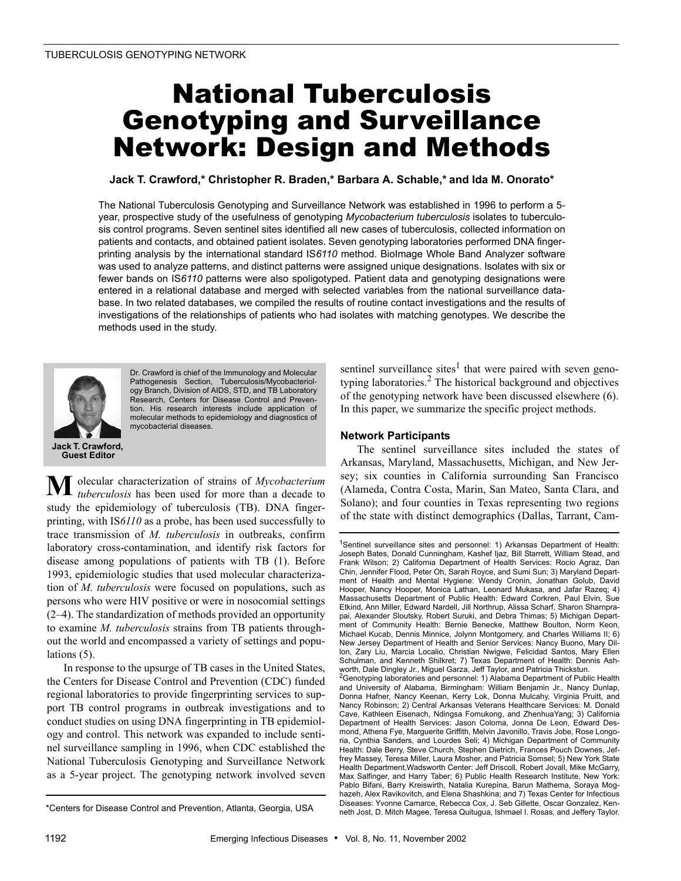## National Tuberculosis Genotyping and Surveillance Network: Design and Methods

**Jack T. Crawford,\* Christopher R. Braden,\* Barbara A. Schable,\* and Ida M. Onorato\***

The National Tuberculosis Genotyping and Surveillance Network was established in 1996 to perform a 5 year, prospective study of the usefulness of genotyping *Mycobacterium tuberculosis* isolates to tuberculosis control programs. Seven sentinel sites identified all new cases of tuberculosis, collected information on patients and contacts, and obtained patient isolates. Seven genotyping laboratories performed DNA fingerprinting analysis by the international standard IS*6110* method. BioImage Whole Band Analyzer software was used to analyze patterns, and distinct patterns were assigned unique designations. Isolates with six or fewer bands on IS*6110* patterns were also spoligotyped. Patient data and genotyping designations were entered in a relational database and merged with selected variables from the national surveillance database. In two related databases, we compiled the results of routine contact investigations and the results of investigations of the relationships of patients who had isolates with matching genotypes. We describe the methods used in the study.



Dr. Crawford is chief of the Immunology and Molecular Pathogenesis Section, Tuberculosis/Mycobacteriology Branch, Division of AIDS, STD, and TB Laboratory Research, Centers for Disease Control and Prevention. His research interests include application of molecular methods to epidemiology and diagnostics of mycobacterial diseases.

olecular characterization of strains of *Mycobacterium tuberculosis* has been used for more than a decade to study the epidemiology of tuberculosis (TB). DNA fingerprinting, with IS*6110* as a probe, has been used successfully to trace transmission of *M. tuberculosis* in outbreaks, confirm laboratory cross-contamination, and identify risk factors for disease among populations of patients with TB (1). Before 1993, epidemiologic studies that used molecular characterization of *M. tuberculosis* were focused on populations, such as persons who were HIV positive or were in nosocomial settings (2–4). The standardization of methods provided an opportunity to examine *M. tuberculosis* strains from TB patients throughout the world and encompassed a variety of settings and populations (5). **M**

In response to the upsurge of TB cases in the United States, the Centers for Disease Control and Prevention (CDC) funded regional laboratories to provide fingerprinting services to support TB control programs in outbreak investigations and to conduct studies on using DNA fingerprinting in TB epidemiology and control. This network was expanded to include sentinel surveillance sampling in 1996, when CDC established the National Tuberculosis Genotyping and Surveillance Network as a 5-year project. The genotyping network involved seven

sentinel surveillance sites<sup>1</sup> that were paired with seven genotyping laboratories. $<sup>2</sup>$  The historical background and objectives</sup> of the genotyping network have been discussed elsewhere (6). In this paper, we summarize the specific project methods.

#### **Network Participants**

The sentinel surveillance sites included the states of Arkansas, Maryland, Massachusetts, Michigan, and New Jersey; six counties in California surrounding San Francisco (Alameda, Contra Costa, Marin, San Mateo, Santa Clara, and Solano); and four counties in Texas representing two regions of the state with distinct demographics (Dallas, Tarrant, Cam-

<sup>\*</sup>Centers for Disease Control and Prevention, Atlanta, Georgia, USA

<sup>&</sup>lt;sup>1</sup>Sentinel surveillance sites and personnel: 1) Arkansas Department of Health: Joseph Bates, Donald Cunningham, Kashef Ijaz, Bill Starrett, William Stead, and Frank Wilson; 2) California Department of Health Services: Rocio Agraz, Dan Chin, Jennifer Flood, Peter Oh, Sarah Royce, and Sumi Sun; 3) Maryland Department of Health and Mental Hygiene: Wendy Cronin, Jonathan Golub, David Hooper, Nancy Hooper, Monica Lathan, Leonard Mukasa, and Jafar Razeq; 4) Massachusetts Department of Public Health: Edward Corkren, Paul Elvin, Sue Etkind, Ann Miller, Edward Nardell, Jill Northrup, Alissa Scharf, Sharon Sharnprapai, Alexander Sloutsky, Robert Suruki, and Debra Thimas; 5) Michigan Department of Community Health: Bernie Benecke, Matthew Boulton, Norm Keon, Michael Kucab, Dennis Minnice, Jolynn Montgomery, and Charles Williams II; 6) New Jersey Department of Health and Senior Services: Nancy Buono, Mary Dillon, Zary Liu, Marcia Localio, Christian Nwigwe, Felicidad Santos, Mary Ellen Schulman, and Kenneth Shilkret; 7) Texas Department of Health: Dennis Ashworth, Dale Dingley Jr., Miguel Garza, Jeff Taylor, and Patricia Thickstun.

<sup>&</sup>lt;sup>2</sup>Genotyping laboratories and personnel: 1) Alabama Department of Public Health and University of Alabama, Birmingham: William Benjamin Jr., Nancy Dunlap, Donna Hafner, Nancy Keenan, Kerry Lok, Donna Mulcahy, Virginia Pruitt, and Nancy Robinson; 2) Central Arkansas Veterans Healthcare Services: M. Donald Cave, Kathleen Eisenach, Ndingsa Fomukong, and ZhenhuaYang; 3) California Department of Health Services: Jason Coloma, Jonna De Leon, Edward Desmond, Athena Fye, Marguerite Griffith, Melvin Javonillo, Travis Jobe, Rose Longoria, Cynthia Sanders, and Lourdes Seli; 4) Michigan Department of Community Health: Dale Berry, Steve Church, Stephen Dietrich, Frances Pouch Downes, Jeffrey Massey, Teresa Miller, Laura Mosher, and Patricia Somsel; 5) New York State Health Department,Wadsworth Center: Jeff Driscoll, Robert Jovall, Mike McGarry, Max Salfinger, and Harry Taber; 6) Public Health Research Institute, New York: Pablo Bifani, Barry Kreiswirth, Natalia Kurepina, Barun Mathema, Soraya Moghazeh, Alex Ravikovitch, and Elena Shashkina; and 7) Texas Center for Infectious Diseases: Yvonne Camarce, Rebecca Cox, J. Seb Gillette, Oscar Gonzalez, Kenneth Jost, D. Mitch Magee, Teresa Quitugua, Ishmael I. Rosas, and Jeffery Taylor.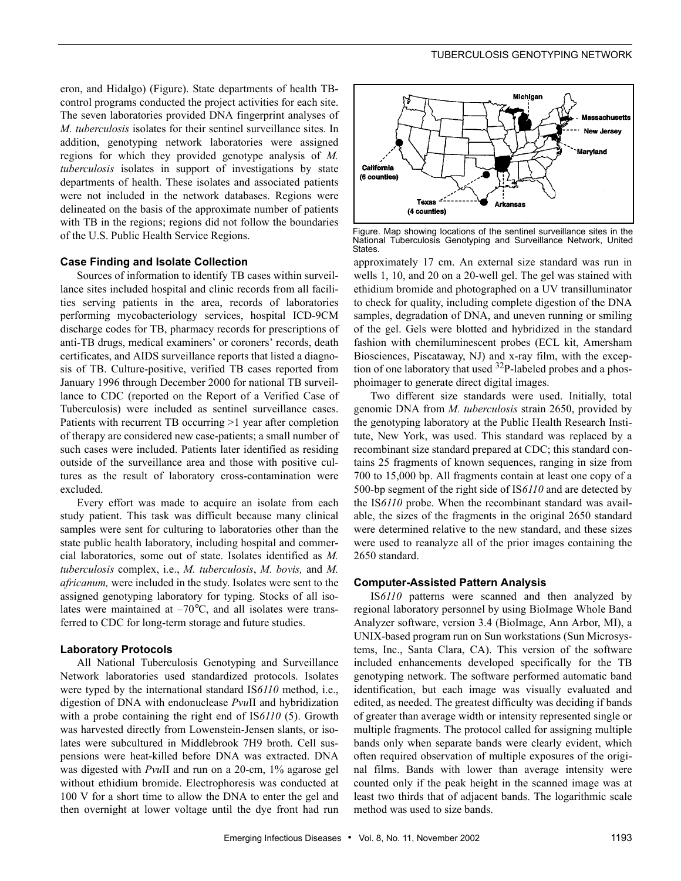eron, and Hidalgo) (Figure). State departments of health TBcontrol programs conducted the project activities for each site. The seven laboratories provided DNA fingerprint analyses of *M. tuberculosis* isolates for their sentinel surveillance sites. In addition, genotyping network laboratories were assigned regions for which they provided genotype analysis of *M. tuberculosis* isolates in support of investigations by state departments of health. These isolates and associated patients were not included in the network databases. Regions were delineated on the basis of the approximate number of patients with TB in the regions; regions did not follow the boundaries of the U.S. Public Health Service Regions.

#### **Case Finding and Isolate Collection**

Sources of information to identify TB cases within surveillance sites included hospital and clinic records from all facilities serving patients in the area, records of laboratories performing mycobacteriology services, hospital ICD-9CM discharge codes for TB, pharmacy records for prescriptions of anti-TB drugs, medical examiners' or coroners' records, death certificates, and AIDS surveillance reports that listed a diagnosis of TB. Culture-positive, verified TB cases reported from January 1996 through December 2000 for national TB surveillance to CDC (reported on the Report of a Verified Case of Tuberculosis) were included as sentinel surveillance cases. Patients with recurrent TB occurring >1 year after completion of therapy are considered new case-patients; a small number of such cases were included. Patients later identified as residing outside of the surveillance area and those with positive cultures as the result of laboratory cross-contamination were excluded.

Every effort was made to acquire an isolate from each study patient. This task was difficult because many clinical samples were sent for culturing to laboratories other than the state public health laboratory, including hospital and commercial laboratories, some out of state. Isolates identified as *M. tuberculosis* complex, i.e., *M. tuberculosis*, *M. bovis,* and *M. africanum,* were included in the study. Isolates were sent to the assigned genotyping laboratory for typing. Stocks of all isolates were maintained at  $-70^{\circ}$ C, and all isolates were transferred to CDC for long-term storage and future studies.

#### **Laboratory Protocols**

All National Tuberculosis Genotyping and Surveillance Network laboratories used standardized protocols. Isolates were typed by the international standard IS*6110* method, i.e., digestion of DNA with endonuclease *Pvu*II and hybridization with a probe containing the right end of IS*6110* (5). Growth was harvested directly from Lowenstein-Jensen slants, or isolates were subcultured in Middlebrook 7H9 broth. Cell suspensions were heat-killed before DNA was extracted. DNA was digested with *Pvu*II and run on a 20-cm, 1% agarose gel without ethidium bromide. Electrophoresis was conducted at 100 V for a short time to allow the DNA to enter the gel and then overnight at lower voltage until the dye front had run



Figure. Map showing locations of the sentinel surveillance sites in the National Tuberculosis Genotyping and Surveillance Network, United **States** 

approximately 17 cm. An external size standard was run in wells 1, 10, and 20 on a 20-well gel. The gel was stained with ethidium bromide and photographed on a UV transilluminator to check for quality, including complete digestion of the DNA samples, degradation of DNA, and uneven running or smiling of the gel. Gels were blotted and hybridized in the standard fashion with chemiluminescent probes (ECL kit, Amersham Biosciences, Piscataway, NJ) and x-ray film, with the exception of one laboratory that used  $32P$ -labeled probes and a phosphoimager to generate direct digital images.

Two different size standards were used. Initially, total genomic DNA from *M. tuberculosis* strain 2650, provided by the genotyping laboratory at the Public Health Research Institute, New York, was used. This standard was replaced by a recombinant size standard prepared at CDC; this standard contains 25 fragments of known sequences, ranging in size from 700 to 15,000 bp. All fragments contain at least one copy of a 500-bp segment of the right side of IS*6110* and are detected by the IS*6110* probe. When the recombinant standard was available, the sizes of the fragments in the original 2650 standard were determined relative to the new standard, and these sizes were used to reanalyze all of the prior images containing the 2650 standard.

#### **Computer-Assisted Pattern Analysis**

IS*6110* patterns were scanned and then analyzed by regional laboratory personnel by using BioImage Whole Band Analyzer software, version 3.4 (BioImage, Ann Arbor, MI), a UNIX-based program run on Sun workstations (Sun Microsystems, Inc., Santa Clara, CA). This version of the software included enhancements developed specifically for the TB genotyping network. The software performed automatic band identification, but each image was visually evaluated and edited, as needed. The greatest difficulty was deciding if bands of greater than average width or intensity represented single or multiple fragments. The protocol called for assigning multiple bands only when separate bands were clearly evident, which often required observation of multiple exposures of the original films. Bands with lower than average intensity were counted only if the peak height in the scanned image was at least two thirds that of adjacent bands. The logarithmic scale method was used to size bands.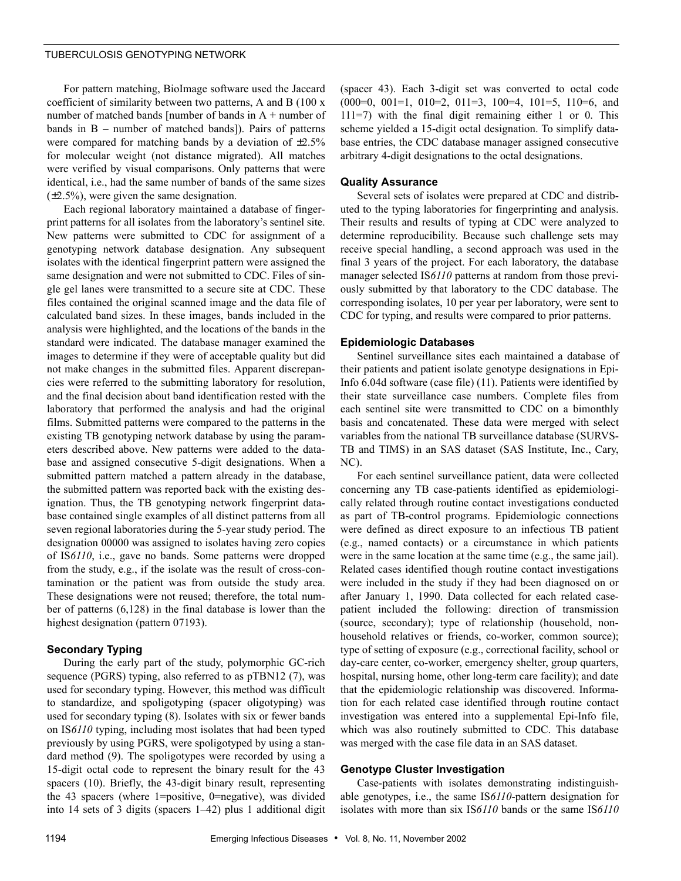#### TUBERCULOSIS GENOTYPING NETWORK

For pattern matching, BioImage software used the Jaccard coefficient of similarity between two patterns, A and B (100 x number of matched bands [number of bands in A + number of bands in B – number of matched bands]). Pairs of patterns were compared for matching bands by a deviation of  $\pm 2.5\%$ for molecular weight (not distance migrated). All matches were verified by visual comparisons. Only patterns that were identical, i.e., had the same number of bands of the same sizes (±2.5%), were given the same designation.

Each regional laboratory maintained a database of fingerprint patterns for all isolates from the laboratory's sentinel site. New patterns were submitted to CDC for assignment of a genotyping network database designation. Any subsequent isolates with the identical fingerprint pattern were assigned the same designation and were not submitted to CDC. Files of single gel lanes were transmitted to a secure site at CDC. These files contained the original scanned image and the data file of calculated band sizes. In these images, bands included in the analysis were highlighted, and the locations of the bands in the standard were indicated. The database manager examined the images to determine if they were of acceptable quality but did not make changes in the submitted files. Apparent discrepancies were referred to the submitting laboratory for resolution, and the final decision about band identification rested with the laboratory that performed the analysis and had the original films. Submitted patterns were compared to the patterns in the existing TB genotyping network database by using the parameters described above. New patterns were added to the database and assigned consecutive 5-digit designations. When a submitted pattern matched a pattern already in the database, the submitted pattern was reported back with the existing designation. Thus, the TB genotyping network fingerprint database contained single examples of all distinct patterns from all seven regional laboratories during the 5-year study period. The designation 00000 was assigned to isolates having zero copies of IS*6110*, i.e., gave no bands. Some patterns were dropped from the study, e.g., if the isolate was the result of cross-contamination or the patient was from outside the study area. These designations were not reused; therefore, the total number of patterns (6,128) in the final database is lower than the highest designation (pattern 07193).

#### **Secondary Typing**

During the early part of the study, polymorphic GC-rich sequence (PGRS) typing, also referred to as pTBN12 (7), was used for secondary typing. However, this method was difficult to standardize, and spoligotyping (spacer oligotyping) was used for secondary typing (8). Isolates with six or fewer bands on IS*6110* typing, including most isolates that had been typed previously by using PGRS, were spoligotyped by using a standard method (9). The spoligotypes were recorded by using a 15-digit octal code to represent the binary result for the 43 spacers (10). Briefly, the 43-digit binary result, representing the 43 spacers (where 1=positive, 0=negative), was divided into 14 sets of 3 digits (spacers 1–42) plus 1 additional digit

(spacer 43). Each 3-digit set was converted to octal code (000=0, 001=1, 010=2, 011=3, 100=4, 101=5, 110=6, and 111=7) with the final digit remaining either 1 or 0. This scheme yielded a 15-digit octal designation. To simplify database entries, the CDC database manager assigned consecutive arbitrary 4-digit designations to the octal designations.

#### **Quality Assurance**

Several sets of isolates were prepared at CDC and distributed to the typing laboratories for fingerprinting and analysis. Their results and results of typing at CDC were analyzed to determine reproducibility. Because such challenge sets may receive special handling, a second approach was used in the final 3 years of the project. For each laboratory, the database manager selected IS*6110* patterns at random from those previously submitted by that laboratory to the CDC database. The corresponding isolates, 10 per year per laboratory, were sent to CDC for typing, and results were compared to prior patterns.

#### **Epidemiologic Databases**

Sentinel surveillance sites each maintained a database of their patients and patient isolate genotype designations in Epi-Info 6.04d software (case file) (11). Patients were identified by their state surveillance case numbers. Complete files from each sentinel site were transmitted to CDC on a bimonthly basis and concatenated. These data were merged with select variables from the national TB surveillance database (SURVS-TB and TIMS) in an SAS dataset (SAS Institute, Inc., Cary, NC).

For each sentinel surveillance patient, data were collected concerning any TB case-patients identified as epidemiologically related through routine contact investigations conducted as part of TB-control programs. Epidemiologic connections were defined as direct exposure to an infectious TB patient (e.g., named contacts) or a circumstance in which patients were in the same location at the same time (e.g., the same jail). Related cases identified though routine contact investigations were included in the study if they had been diagnosed on or after January 1, 1990. Data collected for each related casepatient included the following: direction of transmission (source, secondary); type of relationship (household, nonhousehold relatives or friends, co-worker, common source); type of setting of exposure (e.g., correctional facility, school or day-care center, co-worker, emergency shelter, group quarters, hospital, nursing home, other long-term care facility); and date that the epidemiologic relationship was discovered. Information for each related case identified through routine contact investigation was entered into a supplemental Epi-Info file, which was also routinely submitted to CDC. This database was merged with the case file data in an SAS dataset.

#### **Genotype Cluster Investigation**

Case-patients with isolates demonstrating indistinguishable genotypes, i.e., the same IS*6110*-pattern designation for isolates with more than six IS*6110* bands or the same IS*6110*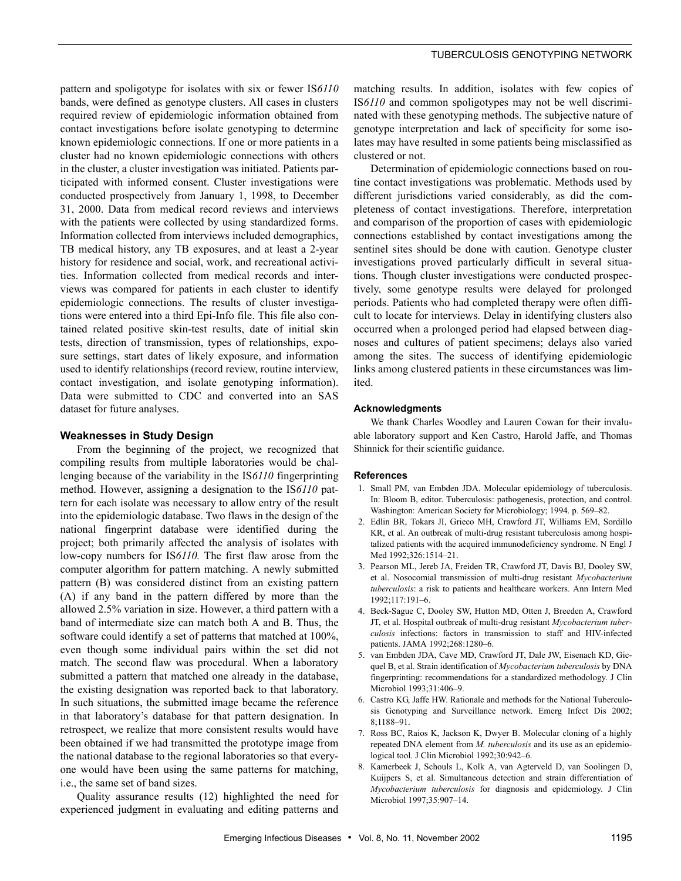pattern and spoligotype for isolates with six or fewer IS*6110* bands, were defined as genotype clusters. All cases in clusters required review of epidemiologic information obtained from contact investigations before isolate genotyping to determine known epidemiologic connections. If one or more patients in a cluster had no known epidemiologic connections with others in the cluster, a cluster investigation was initiated. Patients participated with informed consent. Cluster investigations were conducted prospectively from January 1, 1998, to December 31, 2000. Data from medical record reviews and interviews with the patients were collected by using standardized forms. Information collected from interviews included demographics, TB medical history, any TB exposures, and at least a 2-year history for residence and social, work, and recreational activities. Information collected from medical records and interviews was compared for patients in each cluster to identify epidemiologic connections. The results of cluster investigations were entered into a third Epi-Info file. This file also contained related positive skin-test results, date of initial skin tests, direction of transmission, types of relationships, exposure settings, start dates of likely exposure, and information used to identify relationships (record review, routine interview, contact investigation, and isolate genotyping information). Data were submitted to CDC and converted into an SAS dataset for future analyses.

#### **Weaknesses in Study Design**

From the beginning of the project, we recognized that compiling results from multiple laboratories would be challenging because of the variability in the IS*6110* fingerprinting method. However, assigning a designation to the IS*6110* pattern for each isolate was necessary to allow entry of the result into the epidemiologic database. Two flaws in the design of the national fingerprint database were identified during the project; both primarily affected the analysis of isolates with low-copy numbers for IS*6110.* The first flaw arose from the computer algorithm for pattern matching. A newly submitted pattern (B) was considered distinct from an existing pattern (A) if any band in the pattern differed by more than the allowed 2.5% variation in size. However, a third pattern with a band of intermediate size can match both A and B. Thus, the software could identify a set of patterns that matched at 100%, even though some individual pairs within the set did not match. The second flaw was procedural. When a laboratory submitted a pattern that matched one already in the database, the existing designation was reported back to that laboratory. In such situations, the submitted image became the reference in that laboratory's database for that pattern designation. In retrospect, we realize that more consistent results would have been obtained if we had transmitted the prototype image from the national database to the regional laboratories so that everyone would have been using the same patterns for matching, i.e., the same set of band sizes.

Quality assurance results (12) highlighted the need for experienced judgment in evaluating and editing patterns and matching results. In addition, isolates with few copies of IS*6110* and common spoligotypes may not be well discriminated with these genotyping methods. The subjective nature of genotype interpretation and lack of specificity for some isolates may have resulted in some patients being misclassified as clustered or not.

Determination of epidemiologic connections based on routine contact investigations was problematic. Methods used by different jurisdictions varied considerably, as did the completeness of contact investigations. Therefore, interpretation and comparison of the proportion of cases with epidemiologic connections established by contact investigations among the sentinel sites should be done with caution. Genotype cluster investigations proved particularly difficult in several situations. Though cluster investigations were conducted prospectively, some genotype results were delayed for prolonged periods. Patients who had completed therapy were often difficult to locate for interviews. Delay in identifying clusters also occurred when a prolonged period had elapsed between diagnoses and cultures of patient specimens; delays also varied among the sites. The success of identifying epidemiologic links among clustered patients in these circumstances was limited.

#### **Acknowledgments**

We thank Charles Woodley and Lauren Cowan for their invaluable laboratory support and Ken Castro, Harold Jaffe, and Thomas Shinnick for their scientific guidance.

#### **References**

- 1. Small PM, van Embden JDA. Molecular epidemiology of tuberculosis. In: Bloom B, editor. Tuberculosis: pathogenesis, protection, and control. Washington: American Society for Microbiology; 1994. p. 569–82.
- 2. Edlin BR, Tokars JI, Grieco MH, Crawford JT, Williams EM, Sordillo KR, et al. An outbreak of multi-drug resistant tuberculosis among hospitalized patients with the acquired immunodeficiency syndrome. N Engl J Med 1992;326:1514–21.
- 3. Pearson ML, Jereb JA, Freiden TR, Crawford JT, Davis BJ, Dooley SW, et al. Nosocomial transmission of multi-drug resistant *Mycobacterium tuberculosis*: a risk to patients and healthcare workers. Ann Intern Med 1992;117:191–6.
- 4. Beck-Sague C, Dooley SW, Hutton MD, Otten J, Breeden A, Crawford JT, et al. Hospital outbreak of multi-drug resistant *Mycobacterium tuberculosis* infections: factors in transmission to staff and HIV-infected patients. JAMA 1992;268:1280–6.
- 5. van Embden JDA, Cave MD, Crawford JT, Dale JW, Eisenach KD, Gicquel B, et al. Strain identification of *Mycobacterium tuberculosis* by DNA fingerprinting: recommendations for a standardized methodology. J Clin Microbiol 1993;31:406–9.
- 6. Castro KG, Jaffe HW. Rationale and methods for the National Tuberculosis Genotyping and Surveillance network. Emerg Infect Dis 2002; 8;1188–91.
- 7. Ross BC, Raios K, Jackson K, Dwyer B. Molecular cloning of a highly repeated DNA element from *M. tuberculosis* and its use as an epidemiological tool. J Clin Microbiol 1992;30:942–6.
- 8. Kamerbeek J, Schouls L, Kolk A, van Agterveld D, van Soolingen D, Kuijpers S, et al. Simultaneous detection and strain differentiation of *Mycobacterium tuberculosis* for diagnosis and epidemiology. J Clin Microbiol 1997;35:907–14.